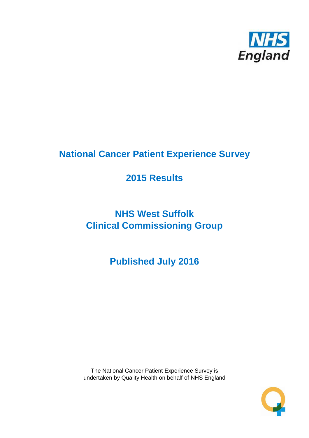

# **National Cancer Patient Experience Survey**

# **2015 Results**

# **NHS West Suffolk Clinical Commissioning Group**

**Published July 2016**

The National Cancer Patient Experience Survey is undertaken by Quality Health on behalf of NHS England

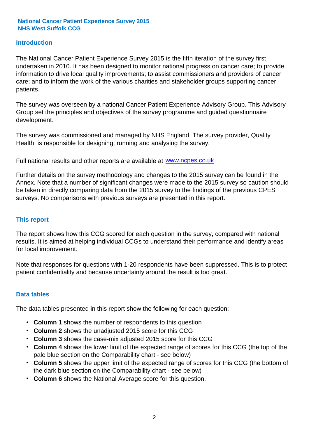### **Introduction**

The National Cancer Patient Experience Survey 2015 is the fifth iteration of the survey first undertaken in 2010. It has been designed to monitor national progress on cancer care; to provide information to drive local quality improvements; to assist commissioners and providers of cancer care; and to inform the work of the various charities and stakeholder groups supporting cancer patients.

The survey was overseen by a national Cancer Patient Experience Advisory Group. This Advisory Group set the principles and objectives of the survey programme and guided questionnaire development.

The survey was commissioned and managed by NHS England. The survey provider, Quality Health, is responsible for designing, running and analysing the survey.

Full national results and other reports are available at www.ncpes.co.uk

Further details on the survey methodology and changes to the 2015 survey can be found in the Annex. Note that a number of significant changes were made to the 2015 survey so caution should be taken in directly comparing data from the 2015 survey to the findings of the previous CPES surveys. No comparisons with previous surveys are presented in this report.

#### **This report**

The report shows how this CCG scored for each question in the survey, compared with national results. It is aimed at helping individual CCGs to understand their performance and identify areas for local improvement.

Note that responses for questions with 1-20 respondents have been suppressed. This is to protect patient confidentiality and because uncertainty around the result is too great.

#### **Data tables**

The data tables presented in this report show the following for each question:

- **Column 1** shows the number of respondents to this question
- **Column 2** shows the unadjusted 2015 score for this CCG
- **Column 3** shows the case-mix adjusted 2015 score for this CCG
- **Column 4** shows the lower limit of the expected range of scores for this CCG (the top of the pale blue section on the Comparability chart - see below)
- **Column 5** shows the upper limit of the expected range of scores for this CCG (the bottom of the dark blue section on the Comparability chart - see below)
- **Column 6** shows the National Average score for this question.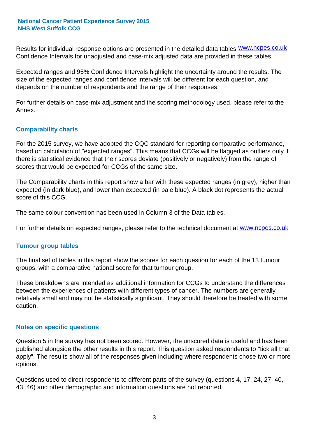Results for individual response options are presented in the detailed data tables **WWW.ncpes.co.uk** Confidence Intervals for unadjusted and case-mix adjusted data are provided in these tables.

Expected ranges and 95% Confidence Intervals highlight the uncertainty around the results. The size of the expected ranges and confidence intervals will be different for each question, and depends on the number of respondents and the range of their responses.

For further details on case-mix adjustment and the scoring methodology used, please refer to the Annex.

### **Comparability charts**

For the 2015 survey, we have adopted the CQC standard for reporting comparative performance, based on calculation of "expected ranges". This means that CCGs will be flagged as outliers only if there is statistical evidence that their scores deviate (positively or negatively) from the range of scores that would be expected for CCGs of the same size.

The Comparability charts in this report show a bar with these expected ranges (in grey), higher than expected (in dark blue), and lower than expected (in pale blue). A black dot represents the actual score of this CCG.

The same colour convention has been used in Column 3 of the Data tables.

For further details on expected ranges, please refer to the technical document at **www.ncpes.co.uk** 

#### **Tumour group tables**

The final set of tables in this report show the scores for each question for each of the 13 tumour groups, with a comparative national score for that tumour group.

These breakdowns are intended as additional information for CCGs to understand the differences between the experiences of patients with different types of cancer. The numbers are generally relatively small and may not be statistically significant. They should therefore be treated with some caution.

#### **Notes on specific questions**

Question 5 in the survey has not been scored. However, the unscored data is useful and has been published alongside the other results in this report. This question asked respondents to "tick all that apply". The results show all of the responses given including where respondents chose two or more options.

Questions used to direct respondents to different parts of the survey (questions 4, 17, 24, 27, 40, 43, 46) and other demographic and information questions are not reported.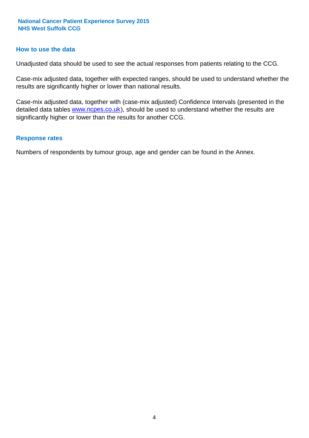#### **How to use the data**

Unadjusted data should be used to see the actual responses from patients relating to the CCG.

Case-mix adjusted data, together with expected ranges, should be used to understand whether the results are significantly higher or lower than national results.

Case-mix adjusted data, together with (case-mix adjusted) Confidence Intervals (presented in the detailed data tables **www.ncpes.co.uk**), should be used to understand whether the results are significantly higher or lower than the results for another CCG.

#### **Response rates**

Numbers of respondents by tumour group, age and gender can be found in the Annex.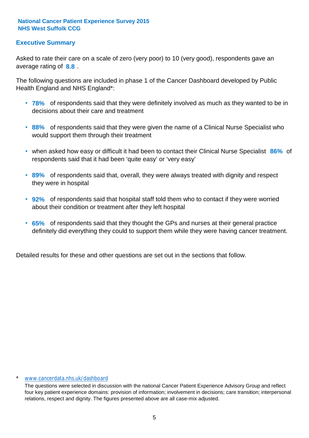### **Executive Summary**

average rating of **8.8**. Asked to rate their care on a scale of zero (very poor) to 10 (very good), respondents gave an

The following questions are included in phase 1 of the Cancer Dashboard developed by Public Health England and NHS England\*:

- **78%** of respondents said that they were definitely involved as much as they wanted to be in decisions about their care and treatment
- **88%** of respondents said that they were given the name of a Clinical Nurse Specialist who would support them through their treatment
- when asked how easy or difficult it had been to contact their Clinical Nurse Specialist 86% of respondents said that it had been 'quite easy' or 'very easy'
- **89%** of respondents said that, overall, they were always treated with dignity and respect they were in hospital
- **92%** of respondents said that hospital staff told them who to contact if they were worried about their condition or treatment after they left hospital
- **65%** of respondents said that they thought the GPs and nurses at their general practice definitely did everything they could to support them while they were having cancer treatment.

Detailed results for these and other questions are set out in the sections that follow.

#### \* www.cancerdata.nhs.uk/dashboard

The questions were selected in discussion with the national Cancer Patient Experience Advisory Group and reflect four key patient experience domains: provision of information; involvement in decisions; care transition; interpersonal relations, respect and dignity. The figures presented above are all case-mix adjusted.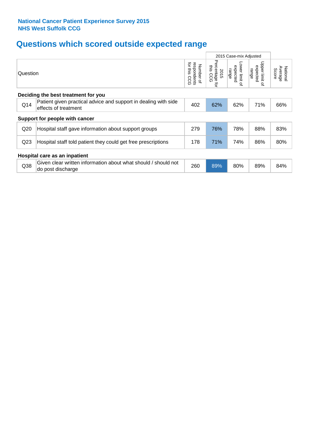# **Questions which scored outside expected range**

|                                     |                                                                                         |                                             |                                     | 2015 Case-mix Adjusted                       |                                                         |                              |  |  |  |
|-------------------------------------|-----------------------------------------------------------------------------------------|---------------------------------------------|-------------------------------------|----------------------------------------------|---------------------------------------------------------|------------------------------|--|--|--|
| Question                            |                                                                                         | for this<br>respondents<br>Number of<br>င်င | Percentage<br>this CCG<br>2015<br>ţ | Lower limit<br>expected<br>range<br>$\Omega$ | Upper limit<br>expected<br>range<br>$\overline{\sigma}$ | Average<br>National<br>Score |  |  |  |
| Deciding the best treatment for you |                                                                                         |                                             |                                     |                                              |                                                         |                              |  |  |  |
| Q14                                 | Patient given practical advice and support in dealing with side<br>effects of treatment | 402                                         | 62%                                 | 62%                                          | 71%                                                     | 66%                          |  |  |  |
|                                     | Support for people with cancer                                                          |                                             |                                     |                                              |                                                         |                              |  |  |  |
| Q20                                 | Hospital staff gave information about support groups                                    | 279                                         | 76%                                 | 78%                                          | 88%                                                     | 83%                          |  |  |  |
| Q <sub>23</sub>                     | Hospital staff told patient they could get free prescriptions                           | 178                                         | 71%                                 | 74%                                          | 86%                                                     | 80%                          |  |  |  |
| Hospital care as an inpatient       |                                                                                         |                                             |                                     |                                              |                                                         |                              |  |  |  |
| Q <sub>38</sub>                     | Given clear written information about what should / should not<br>do post discharge     | 260                                         | 89%                                 | 80%                                          | 89%                                                     | 84%                          |  |  |  |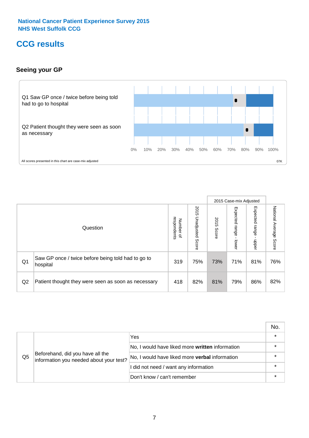# **CCG results**

### **Seeing your GP**



|    |                                                                |                                         |                             |               | 2015 Case-mix Adjusted     |                            |                        |
|----|----------------------------------------------------------------|-----------------------------------------|-----------------------------|---------------|----------------------------|----------------------------|------------------------|
|    | Question                                                       | respondents<br>Number<br>$\overline{a}$ | 2015<br>Unadjusted<br>Score | 2015<br>Score | Expected<br>range<br>lower | Expected<br>range<br>nbber | National Average Score |
| Q1 | Saw GP once / twice before being told had to go to<br>hospital | 319                                     | 75%                         | 73%           | 71%                        | 81%                        | 76%                    |
| Q2 | Patient thought they were seen as soon as necessary            | 418                                     | 82%                         | 81%           | 79%                        | 86%                        | 82%                    |

|    |                                                                             |                                                 | No. |
|----|-----------------------------------------------------------------------------|-------------------------------------------------|-----|
|    |                                                                             | Yes                                             |     |
|    | Beforehand, did you have all the<br>information you needed about your test? | No, I would have liked more written information |     |
| Q5 |                                                                             | No, I would have liked more verbal information  |     |
|    |                                                                             | I did not need / want any information           |     |
|    |                                                                             | Don't know / can't remember                     |     |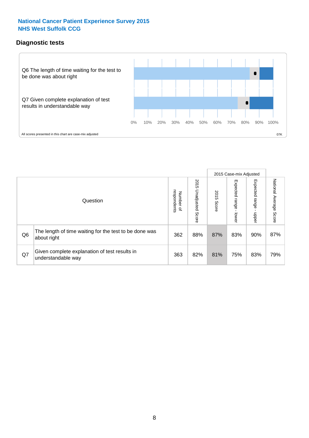### **Diagnostic tests**



|                |                                                                       |                                   |                             |               | 2015 Case-mix Adjusted  |                         |                           |
|----------------|-----------------------------------------------------------------------|-----------------------------------|-----------------------------|---------------|-------------------------|-------------------------|---------------------------|
|                | Question                                                              | respondents<br>Number<br>$\Omega$ | 2015<br>Unadjusted<br>Score | 2015<br>Score | Expected range<br>lower | Expected range<br>nbber | National Average<br>Score |
| Q <sub>6</sub> | The length of time waiting for the test to be done was<br>about right | 362                               | 88%                         | 87%           | 83%                     | 90%                     | 87%                       |
| Q7             | Given complete explanation of test results in<br>understandable way   | 363                               | 82%                         | 81%           | 75%                     | 83%                     | 79%                       |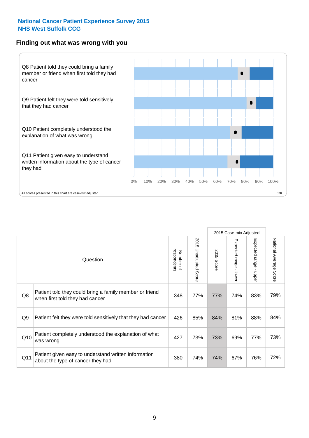#### **Finding out what was wrong with you**



|     |                                                                                            |                          |                                 |                      | 2015 Case-mix Adjusted                    |                                         |                        |
|-----|--------------------------------------------------------------------------------------------|--------------------------|---------------------------------|----------------------|-------------------------------------------|-----------------------------------------|------------------------|
|     | Question                                                                                   | respondents<br>Number of | 2015<br><b>Unadjusted Score</b> | 2015<br><b>Score</b> | Expected range<br>$\blacksquare$<br>lower | Expected range<br>$\mathbf{r}$<br>nbber | National Average Score |
| Q8  | Patient told they could bring a family member or friend<br>when first told they had cancer | 348                      | 77%                             | 77%                  | 74%                                       | 83%                                     | 79%                    |
| Q9  | Patient felt they were told sensitively that they had cancer                               | 426                      | 85%                             | 84%                  | 81%                                       | 88%                                     | 84%                    |
| Q10 | Patient completely understood the explanation of what<br>was wrong                         | 427                      | 73%                             | 73%                  | 69%                                       | 77%                                     | 73%                    |
| Q11 | Patient given easy to understand written information<br>about the type of cancer they had  | 380                      | 74%                             | 74%                  | 67%                                       | 76%                                     | 72%                    |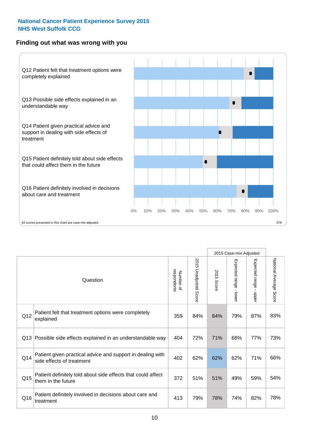### **Finding out what was wrong with you**



|     |                                                                                         |                          |                       |               | 2015 Case-mix Adjusted                  |                           |                        |
|-----|-----------------------------------------------------------------------------------------|--------------------------|-----------------------|---------------|-----------------------------------------|---------------------------|------------------------|
|     | Question                                                                                | respondents<br>Number of | 2015 Unadjusted Score | 2015<br>Score | Expected range<br>$\mathbf{r}$<br>lower | Expected range -<br>nbber | National Average Score |
| Q12 | Patient felt that treatment options were completely<br>explained                        | 359                      | 84%                   | 84%           | 79%                                     | 87%                       | 83%                    |
| Q13 | Possible side effects explained in an understandable way                                | 404                      | 72%                   | 71%           | 68%                                     | 77%                       | 73%                    |
| Q14 | Patient given practical advice and support in dealing with<br>side effects of treatment | 402                      | 62%                   | 62%           | 62%                                     | 71%                       | 66%                    |
| Q15 | Patient definitely told about side effects that could affect<br>them in the future      | 372                      | 51%                   | 51%           | 49%                                     | 59%                       | 54%                    |
| Q16 | Patient definitely involved in decisions about care and<br>treatment                    | 413                      | 79%                   | 78%           | 74%                                     | 82%                       | 78%                    |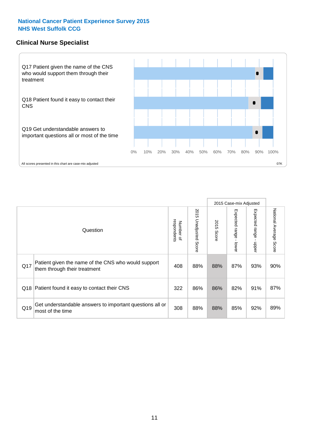### **Clinical Nurse Specialist**



|     |                                                                                     |                          |                       |               | 2015 Case-mix Adjusted  |                         |                                  |
|-----|-------------------------------------------------------------------------------------|--------------------------|-----------------------|---------------|-------------------------|-------------------------|----------------------------------|
|     | Question                                                                            | Number of<br>respondents | 2015 Unadjusted Score | 2015<br>Score | Expected range<br>lower | Expected range<br>nbber | National Average<br><b>Score</b> |
| Q17 | Patient given the name of the CNS who would support<br>them through their treatment | 408                      | 88%                   | 88%           | 87%                     | 93%                     | 90%                              |
| Q18 | Patient found it easy to contact their CNS                                          | 322                      | 86%                   | 86%           | 82%                     | 91%                     | 87%                              |
| Q19 | Get understandable answers to important questions all or<br>most of the time        | 308                      | 88%                   | 88%           | 85%                     | 92%                     | 89%                              |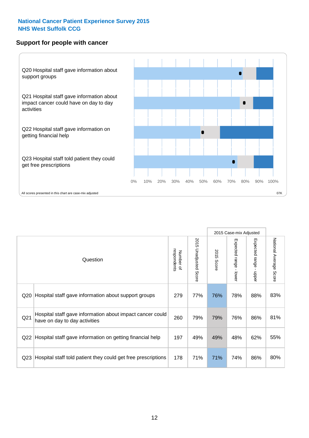#### **Support for people with cancer**



|                 |                                                                                            |                          |                       |            | 2015 Case-mix Adjusted    |                                         |                           |
|-----------------|--------------------------------------------------------------------------------------------|--------------------------|-----------------------|------------|---------------------------|-----------------------------------------|---------------------------|
|                 | Question                                                                                   | respondents<br>Number of | 2015 Unadjusted Score | 2015 Score | Expected range<br>- lower | Expected range<br>$\mathbf{I}$<br>nbber | National Average<br>Score |
| Q20             | Hospital staff gave information about support groups                                       | 279                      | 77%                   | 76%        | 78%                       | 88%                                     | 83%                       |
| Q <sub>21</sub> | Hospital staff gave information about impact cancer could<br>have on day to day activities | 260                      | 79%                   | 79%        | 76%                       | 86%                                     | 81%                       |
| Q22             | Hospital staff gave information on getting financial help                                  | 197                      | 49%                   | 49%        | 48%                       | 62%                                     | 55%                       |
| Q <sub>23</sub> | Hospital staff told patient they could get free prescriptions                              | 178                      | 71%                   | 71%        | 74%                       | 86%                                     | 80%                       |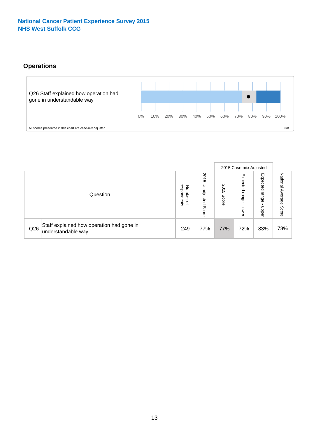### **Operations**



|     |                                                                 |                                         |                             |               | 2015 Case-mix Adjusted     |                           |                           |
|-----|-----------------------------------------------------------------|-----------------------------------------|-----------------------------|---------------|----------------------------|---------------------------|---------------------------|
|     | Question                                                        | respondents<br>Number<br>$\overline{a}$ | 2015<br>Unadjusted<br>Score | 2015<br>Score | Expected<br>range<br>lower | Expected<br>range<br>ddoe | National Average<br>Score |
| Q26 | Staff explained how operation had gone in<br>understandable way | 249                                     | 77%                         | 77%           | 72%                        | 83%                       | 78%                       |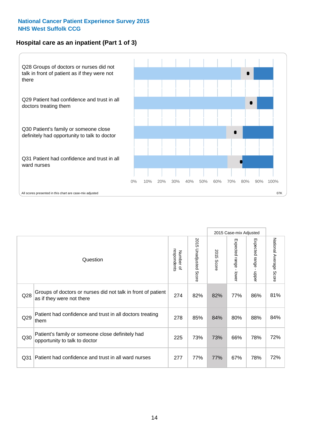### **Hospital care as an inpatient (Part 1 of 3)**



All scores presented in this chart are case-mix adjusted  $07K$ 

|                 |                                                                                           |                          |                                 |                      | 2015 Case-mix Adjusted                  |                                         |                        |
|-----------------|-------------------------------------------------------------------------------------------|--------------------------|---------------------------------|----------------------|-----------------------------------------|-----------------------------------------|------------------------|
|                 | Question                                                                                  | respondents<br>Number of | 2015<br><b>Unadjusted Score</b> | 2015<br><b>Score</b> | Expected range<br>$\mathbf{r}$<br>lower | Expected range<br>$\mathbf{I}$<br>nbber | National Average Score |
| Q28             | Groups of doctors or nurses did not talk in front of patient<br>as if they were not there | 274                      | 82%                             | 82%                  | 77%                                     | 86%                                     | 81%                    |
| Q29             | Patient had confidence and trust in all doctors treating<br>them                          | 278                      | 85%                             | 84%                  | 80%                                     | 88%                                     | 84%                    |
| Q30             | Patient's family or someone close definitely had<br>opportunity to talk to doctor         | 225                      | 73%                             | 73%                  | 66%                                     | 78%                                     | 72%                    |
| Q <sub>31</sub> | Patient had confidence and trust in all ward nurses                                       | 277                      | 77%                             | 77%                  | 67%                                     | 78%                                     | 72%                    |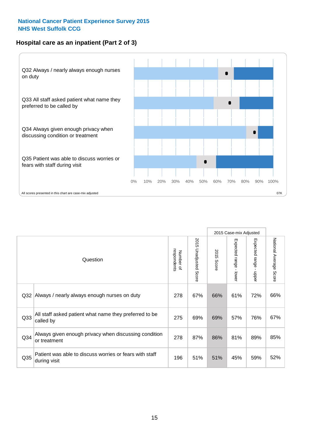### **Hospital care as an inpatient (Part 2 of 3)**



|                 |                                                                         |                          |                          |               | 2015 Case-mix Adjusted                  |                                           |                        |
|-----------------|-------------------------------------------------------------------------|--------------------------|--------------------------|---------------|-----------------------------------------|-------------------------------------------|------------------------|
|                 | Question                                                                | respondents<br>Number of | 2015<br>Unadjusted Score | 2015<br>Score | Expected range<br>$\mathbf{r}$<br>lower | Expected range<br>$\blacksquare$<br>hbber | National Average Score |
| Q <sub>32</sub> | Always / nearly always enough nurses on duty                            | 278                      | 67%                      | 66%           | 61%                                     | 72%                                       | 66%                    |
| Q <sub>33</sub> | All staff asked patient what name they preferred to be<br>called by     | 275                      | 69%                      | 69%           | 57%                                     | 76%                                       | 67%                    |
| Q <sub>34</sub> | Always given enough privacy when discussing condition<br>or treatment   | 278                      | 87%                      | 86%           | 81%                                     | 89%                                       | 85%                    |
| Q35             | Patient was able to discuss worries or fears with staff<br>during visit | 196                      | 51%                      | 51%           | 45%                                     | 59%                                       | 52%                    |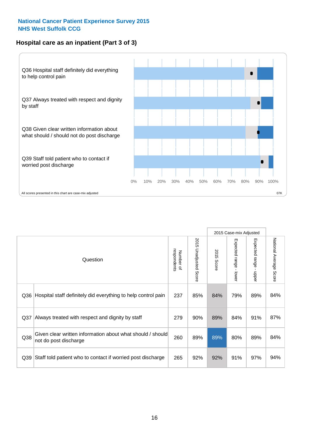### **Hospital care as an inpatient (Part 3 of 3)**



|                 |                                                                                     |                          |                                 |               | 2015 Case-mix Adjusted                    |                                           |                        |
|-----------------|-------------------------------------------------------------------------------------|--------------------------|---------------------------------|---------------|-------------------------------------------|-------------------------------------------|------------------------|
|                 | Question                                                                            | respondents<br>Number of | 2015<br><b>Unadjusted Score</b> | 2015<br>Score | Expected range<br>$\blacksquare$<br>lower | Expected range<br>$\blacksquare$<br>nbber | National Average Score |
| Q36             | Hospital staff definitely did everything to help control pain                       | 237                      | 85%                             | 84%           | 79%                                       | 89%                                       | 84%                    |
| Q <sub>37</sub> | Always treated with respect and dignity by staff                                    | 279                      | 90%                             | 89%           | 84%                                       | 91%                                       | 87%                    |
| Q38             | Given clear written information about what should / should<br>not do post discharge | 260                      | 89%                             | 89%           | 80%                                       | 89%                                       | 84%                    |
| Q39             | Staff told patient who to contact if worried post discharge                         | 265                      | 92%                             | 92%           | 91%                                       | 97%                                       | 94%                    |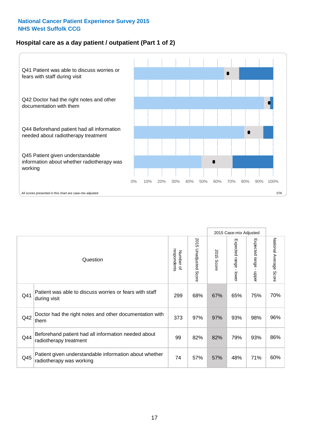### **Hospital care as a day patient / outpatient (Part 1 of 2)**



|     |                                                                                    |                          |                                      |               | 2015 Case-mix Adjusted                    |                                           |                        |
|-----|------------------------------------------------------------------------------------|--------------------------|--------------------------------------|---------------|-------------------------------------------|-------------------------------------------|------------------------|
|     | Question                                                                           | respondents<br>Number of | 201<br>C)<br><b>Unadjusted Score</b> | 2015<br>Score | Expected range<br>$\blacksquare$<br>lower | Expected range<br>$\blacksquare$<br>nbber | National Average Score |
| Q41 | Patient was able to discuss worries or fears with staff<br>during visit            | 299                      | 68%                                  | 67%           | 65%                                       | 75%                                       | 70%                    |
| Q42 | Doctor had the right notes and other documentation with<br>them                    | 373                      | 97%                                  | 97%           | 93%                                       | 98%                                       | 96%                    |
| Q44 | Beforehand patient had all information needed about<br>radiotherapy treatment      | 99                       | 82%                                  | 82%           | 79%                                       | 93%                                       | 86%                    |
| Q45 | Patient given understandable information about whether<br>radiotherapy was working | 74                       | 57%                                  | 57%           | 48%                                       | 71%                                       | 60%                    |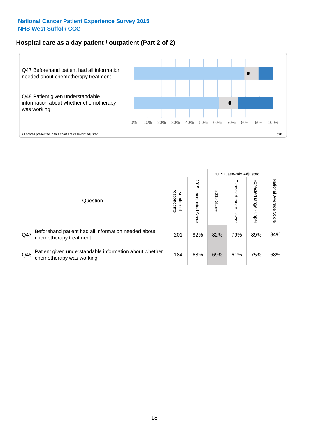### **Hospital care as a day patient / outpatient (Part 2 of 2)**



|     |                                                                                    |                                       |                             |               |                              | 2015 Case-mix Adjusted  |                           |
|-----|------------------------------------------------------------------------------------|---------------------------------------|-----------------------------|---------------|------------------------------|-------------------------|---------------------------|
|     | Question                                                                           | respondents<br>Number<br>$\mathbf{Q}$ | 2015<br>Unadjusted<br>Score | 2015<br>Score | Expected<br>I range<br>lower | Expected range<br>doper | National Average<br>Score |
| Q47 | Beforehand patient had all information needed about<br>chemotherapy treatment      | 201                                   | 82%                         | 82%           | 79%                          | 89%                     | 84%                       |
| Q48 | Patient given understandable information about whether<br>chemotherapy was working | 184                                   | 68%                         | 69%           | 61%                          | 75%                     | 68%                       |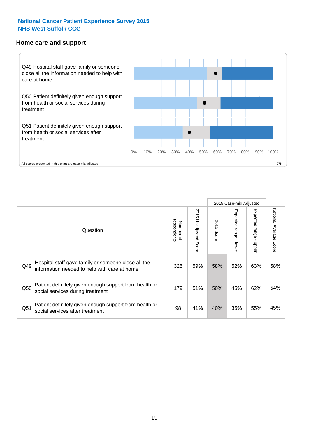#### **Home care and support**



2015 Case-mix Adjusted 2015 Unadjusted Score Expected range - upper National Average Score 2015 Unadjusted Score Expected range - lower National Average Score Expected range - lower Expected range - upper Number of<br>respondents 2015 Score respondents 2015 Score Number of Question Hospital staff gave family or someone close all the  $Q49$  information needed to help with care at home  $325 \begin{array}{|l} 325 \end{array}$  59% 58% 52% 63% 58% Patient definitely given enough support from health or Q50 social services during treatment 179 | 51% 50% 45% 62% 54% Patient definitely given enough support from health or Q51 social services after treatment<br>
Q51 social services after treatment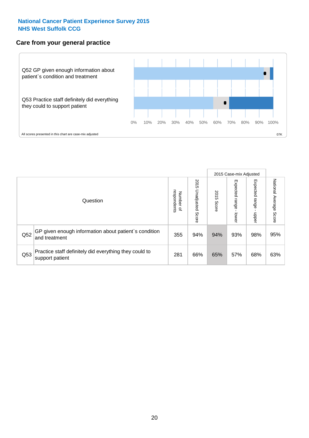### **Care from your general practice**



|     |                                                                           |                                       |                             |               |                             | 2015 Case-mix Adjusted     |                           |
|-----|---------------------------------------------------------------------------|---------------------------------------|-----------------------------|---------------|-----------------------------|----------------------------|---------------------------|
|     | Question                                                                  | respondents<br>Number<br>$\mathbf{Q}$ | 2015<br>Unadjusted<br>Score | 2015<br>Score | Expected<br>Irange<br>lower | Expected<br>range<br>dpper | National Average<br>Score |
| Q52 | GP given enough information about patient's condition<br>and treatment    | 355                                   | 94%                         | 94%           | 93%                         | 98%                        | 95%                       |
| Q53 | Practice staff definitely did everything they could to<br>support patient | 281                                   | 66%                         | 65%           | 57%                         | 68%                        | 63%                       |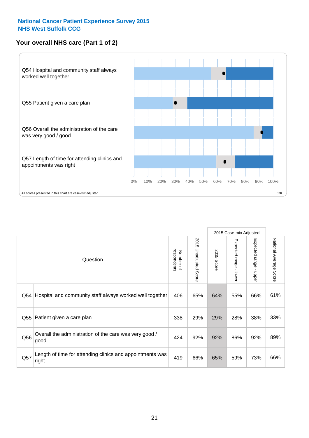## **Your overall NHS care (Part 1 of 2)**



|     |                                                                    |                          |                          |                      | 2015 Case-mix Adjusted                    |                                           |                        |
|-----|--------------------------------------------------------------------|--------------------------|--------------------------|----------------------|-------------------------------------------|-------------------------------------------|------------------------|
|     | Question                                                           | respondents<br>Number of | 2015<br>Unadjusted Score | 2015<br><b>Score</b> | Expected range<br>$\blacksquare$<br>lower | Expected range<br>$\blacksquare$<br>nbber | National Average Score |
| Q54 | Hospital and community staff always worked well together           | 406                      | 65%                      | 64%                  | 55%                                       | 66%                                       | 61%                    |
| Q55 | Patient given a care plan                                          | 338                      | 29%                      | 29%                  | 28%                                       | 38%                                       | 33%                    |
| Q56 | Overall the administration of the care was very good /<br>good     | 424                      | 92%                      | 92%                  | 86%                                       | 92%                                       | 89%                    |
| Q57 | Length of time for attending clinics and appointments was<br>right | 419                      | 66%                      | 65%                  | 59%                                       | 73%                                       | 66%                    |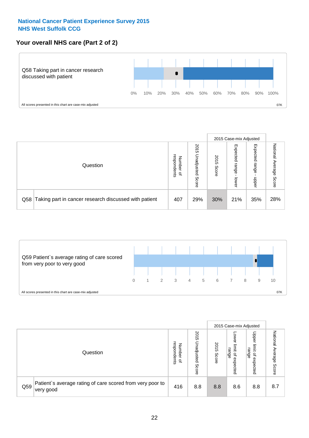### **Your overall NHS care (Part 2 of 2)**



|     |                                                       |                                         |                             |               |                            | 2015 Case-mix Adjusted     |                        |
|-----|-------------------------------------------------------|-----------------------------------------|-----------------------------|---------------|----------------------------|----------------------------|------------------------|
|     | Question                                              | respondents<br>Number<br>$\overline{a}$ | 2015<br>Jnadjusted<br>Score | 2015<br>Score | Expected<br>range<br>lower | Expected<br>range<br>doper | National Average Score |
| Q58 | Taking part in cancer research discussed with patient | 407                                     | 29%                         | 30%           | 21%                        | 35%                        | 28%                    |



|     |                                                                        |                                              |                             |               |                                         | 2015 Case-mix Adjusted                                          |                              |
|-----|------------------------------------------------------------------------|----------------------------------------------|-----------------------------|---------------|-----------------------------------------|-----------------------------------------------------------------|------------------------------|
|     | Question                                                               | respondents<br>Number<br>$\overline{\sigma}$ | 2015<br>Jnadjusted<br>Score | 2015<br>Score | OWer<br>limit<br>range<br>٩<br>expected | Upper<br>limit<br>range<br>$\overline{\mathcal{C}}$<br>expected | National<br>Average<br>Score |
| Q59 | Patient's average rating of care scored from very poor to<br>very good | 416                                          | 8.8                         | 8.8           | 8.6                                     | 8.8                                                             | 8.7                          |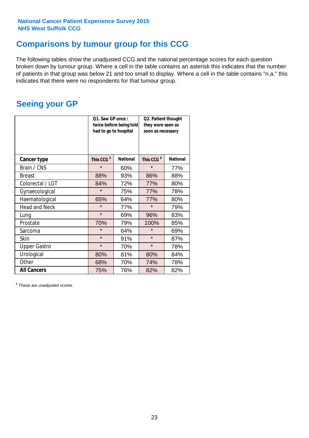# **Comparisons by tumour group for this CCG**

The following tables show the unadjusted CCG and the national percentage scores for each question broken down by tumour group. Where a cell in the table contains an asterisk this indicates that the number of patients in that group was below 21 and too small to display. Where a cell in the table contains "n.a." this indicates that there were no respondents for that tumour group.

# **Seeing your GP**

|                      | Q1. Saw GP once /<br>had to go to hospital | twice before being told | Q2. Patient thought<br>they were seen as<br>soon as necessary |                 |  |
|----------------------|--------------------------------------------|-------------------------|---------------------------------------------------------------|-----------------|--|
| <b>Cancer type</b>   | This CCG <sup>\$</sup>                     | <b>National</b>         | This CCG <sup>\$</sup>                                        | <b>National</b> |  |
| Brain / CNS          | $\star$                                    | 60%                     | $\star$                                                       | 77%             |  |
| <b>Breast</b>        | 88%                                        | 93%                     | 86%                                                           | 88%             |  |
| Colorectal / LGT     | 84%                                        | 72%                     | 77%                                                           | 80%             |  |
| Gynaecological       | $\star$                                    | 75%                     | 77%                                                           | 78%             |  |
| Haematological       | 65%                                        | 64%                     | 77%                                                           | 80%             |  |
| <b>Head and Neck</b> | $\star$                                    | 77%                     | $\star$                                                       | 79%             |  |
| Lung                 | $\star$                                    | 69%                     | 96%                                                           | 83%             |  |
| Prostate             | 70%                                        | 79%                     | 100%                                                          | 85%             |  |
| Sarcoma              | $\star$                                    | 64%                     | $\star$                                                       | 69%             |  |
| <b>Skin</b>          | $\star$                                    | 91%                     | $\star$                                                       | 87%             |  |
| <b>Upper Gastro</b>  | $\star$                                    | 70%                     | $\star$                                                       | 78%             |  |
| Urological           | 80%                                        | 81%                     | 80%                                                           | 84%             |  |
| Other                | 68%                                        | 70%                     | 74%                                                           | 78%             |  |
| <b>All Cancers</b>   | 75%                                        | 76%                     | 82%                                                           | 82%             |  |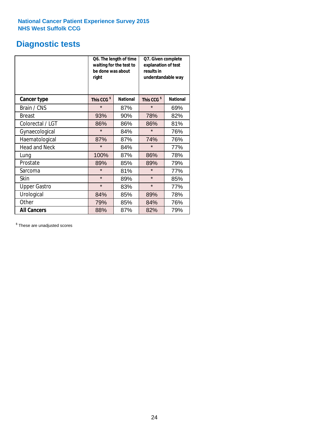# **Diagnostic tests**

|                      | be done was about<br>right | Q6. The length of time<br>waiting for the test to | Q7. Given complete<br>explanation of test<br>results in<br>understandable way |                 |  |
|----------------------|----------------------------|---------------------------------------------------|-------------------------------------------------------------------------------|-----------------|--|
| <b>Cancer type</b>   | This CCG <sup>\$</sup>     | <b>National</b>                                   | This CCG <sup>\$</sup>                                                        | <b>National</b> |  |
| Brain / CNS          | $\star$                    | 87%                                               | $\star$                                                                       | 69%             |  |
| <b>Breast</b>        | 93%                        | 90%                                               | 78%                                                                           | 82%             |  |
| Colorectal / LGT     | 86%                        | 86%                                               | 86%                                                                           | 81%             |  |
| Gynaecological       | $\star$                    | 84%                                               | $\star$                                                                       | 76%             |  |
| Haematological       | 87%                        | 87%                                               | 74%                                                                           | 76%             |  |
| <b>Head and Neck</b> | $\star$                    | 84%                                               | $\star$                                                                       | 77%             |  |
| Lung                 | 100%                       | 87%                                               | 86%                                                                           | 78%             |  |
| Prostate             | 89%                        | 85%                                               | 89%                                                                           | 79%             |  |
| Sarcoma              | $\star$                    | 81%                                               | $\star$                                                                       | 77%             |  |
| <b>Skin</b>          | $\star$                    | 89%                                               | $\star$                                                                       | 85%             |  |
| <b>Upper Gastro</b>  | $\star$                    | 83%                                               | $\star$                                                                       | 77%             |  |
| Urological           | 84%                        | 85%                                               | 89%                                                                           | 78%             |  |
| Other                | 79%                        | 85%                                               | 84%                                                                           | 76%             |  |
| <b>All Cancers</b>   | 88%                        | 87%                                               | 82%                                                                           | 79%             |  |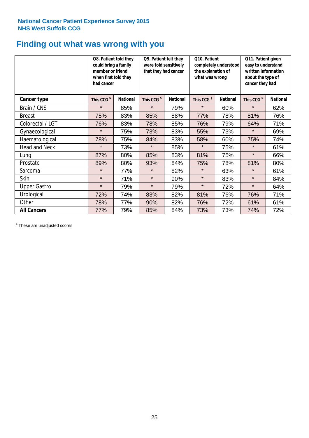# **Finding out what was wrong with you**

|                     | Q8. Patient told they<br>could bring a family<br>member or friend<br>when first told they<br>had cancer |                 | Q9. Patient felt they<br>were told sensitively<br>that they had cancer |                 | Q10. Patient<br>completely understood<br>the explanation of<br>what was wrong |                 | Q11. Patient given<br>easy to understand<br>written information<br>about the type of<br>cancer they had |                 |  |
|---------------------|---------------------------------------------------------------------------------------------------------|-----------------|------------------------------------------------------------------------|-----------------|-------------------------------------------------------------------------------|-----------------|---------------------------------------------------------------------------------------------------------|-----------------|--|
| Cancer type         | This CCG <sup>\$</sup>                                                                                  | <b>National</b> | This CCG <sup>\$</sup>                                                 | <b>National</b> | This CCG <sup>\$</sup>                                                        | <b>National</b> | This CCG <sup>\$</sup>                                                                                  | <b>National</b> |  |
| Brain / CNS         | $\star$                                                                                                 | 85%             | $\star$                                                                | 79%             | $\star$                                                                       | 60%             | $\star$                                                                                                 | 62%             |  |
| <b>Breast</b>       | 75%                                                                                                     | 83%             | 85%                                                                    | 88%             | 77%                                                                           | 78%             | 81%                                                                                                     | 76%             |  |
| Colorectal / LGT    | 76%                                                                                                     | 83%             | 78%                                                                    | 85%             | 76%                                                                           | 79%             | 64%                                                                                                     | 71%             |  |
| Gynaecological      | $\star$                                                                                                 | 75%             | 73%                                                                    | 83%             | 55%                                                                           | 73%             | $\star$                                                                                                 | 69%             |  |
| Haematological      | 78%                                                                                                     | 75%             | 84%                                                                    | 83%             | 58%                                                                           | 60%             | 75%                                                                                                     | 74%             |  |
| Head and Neck       | $\star$                                                                                                 | 73%             | $\star$                                                                | 85%             | $\star$                                                                       | 75%             | $\star$                                                                                                 | 61%             |  |
| Lung                | 87%                                                                                                     | 80%             | 85%                                                                    | 83%             | 81%                                                                           | 75%             | $\star$                                                                                                 | 66%             |  |
| Prostate            | 89%                                                                                                     | 80%             | 93%                                                                    | 84%             | 75%                                                                           | 78%             | 81%                                                                                                     | 80%             |  |
| Sarcoma             | $\star$                                                                                                 | 77%             | $\star$                                                                | 82%             | $\star$                                                                       | 63%             | $\star$                                                                                                 | 61%             |  |
| Skin                | $\star$                                                                                                 | 71%             | $\star$                                                                | 90%             | $\star$                                                                       | 83%             | $\star$                                                                                                 | 84%             |  |
| <b>Upper Gastro</b> | $\star$                                                                                                 | 79%             | $\star$                                                                | 79%             | $\star$                                                                       | 72%             | $\star$                                                                                                 | 64%             |  |
| Urological          | 72%                                                                                                     | 74%             | 83%                                                                    | 82%             | 81%                                                                           | 76%             | 76%                                                                                                     | 71%             |  |
| Other               | 78%                                                                                                     | 77%             | 90%                                                                    | 82%             | 76%                                                                           | 72%             | 61%                                                                                                     | 61%             |  |
| <b>All Cancers</b>  | 77%                                                                                                     | 79%             | 85%                                                                    | 84%             | 73%                                                                           | 73%             | 74%                                                                                                     | 72%             |  |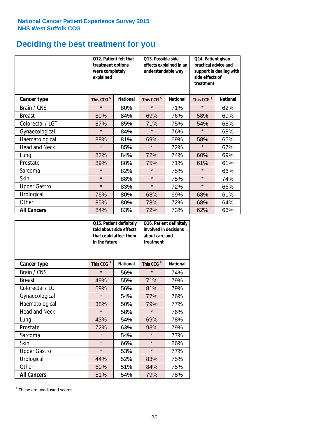# **Deciding the best treatment for you**

|                      | Q12. Patient felt that<br>treatment options<br>were completely<br>explained |                 | Q13. Possible side<br>understandable way | effects explained in an | Q14. Patient given<br>practical advice and<br>support in dealing with<br>side effects of<br>treatment |                 |  |
|----------------------|-----------------------------------------------------------------------------|-----------------|------------------------------------------|-------------------------|-------------------------------------------------------------------------------------------------------|-----------------|--|
| <b>Cancer type</b>   | This CCG <sup>\$</sup>                                                      | <b>National</b> | This CCG <sup>\$</sup>                   | <b>National</b>         | This CCG <sup>\$</sup>                                                                                | <b>National</b> |  |
| Brain / CNS          | $\star$                                                                     | 80%             | $\star$                                  | 71%                     | $\star$                                                                                               | 62%             |  |
| <b>Breast</b>        | 80%                                                                         | 84%             | 69%                                      | 76%                     | 58%                                                                                                   | 69%             |  |
| Colorectal / LGT     | 87%                                                                         | 85%             | 71%                                      | 75%                     | 54%                                                                                                   | 68%             |  |
| Gynaecological       | $\star$                                                                     | 84%             | $\star$                                  | 76%                     | $\star$                                                                                               | 68%             |  |
| Haematological       | 88%                                                                         | 81%             | 69%                                      | 69%                     | 58%                                                                                                   | 65%             |  |
| <b>Head and Neck</b> | $\star$                                                                     | 85%             | $\star$                                  | 72%                     | $\star$                                                                                               | 67%             |  |
| Lung                 | 82%                                                                         | 84%             | 72%                                      | 74%                     | 60%                                                                                                   | 69%             |  |
| Prostate             | 89%                                                                         | 80%             | 75%                                      | 71%                     | 61%                                                                                                   | 61%             |  |
| Sarcoma              | $\star$                                                                     | 82%             | $\star$                                  | 75%                     | $\star$                                                                                               | 66%             |  |
| Skin                 | $\star$                                                                     | 88%             | $\star$                                  | 75%                     | $\star$                                                                                               | 74%             |  |
| <b>Upper Gastro</b>  | $\star$                                                                     | 83%             | $\star$                                  | 72%                     | $\star$                                                                                               | 66%             |  |
| Urological           | 76%                                                                         | 80%             | 68%                                      | 69%                     | 68%                                                                                                   | 61%             |  |
| Other                | 85%                                                                         | 80%             | 78%                                      | 72%                     | 68%                                                                                                   | 64%             |  |
| <b>All Cancers</b>   | 84%                                                                         | 83%             | 72%                                      | 73%                     | 62%                                                                                                   | 66%             |  |

|                      | in the future          | Q15. Patient definitely<br>told about side effects<br>that could affect them | Q16. Patient definitely<br>involved in decisions<br>about care and<br>treatment |                 |  |
|----------------------|------------------------|------------------------------------------------------------------------------|---------------------------------------------------------------------------------|-----------------|--|
| <b>Cancer type</b>   | This CCG <sup>\$</sup> | <b>National</b>                                                              | This CCG <sup>\$</sup>                                                          | <b>National</b> |  |
| Brain / CNS          | $\star$                | 56%                                                                          | $\star$                                                                         | 74%             |  |
| <b>Breast</b>        | 49%                    | 55%                                                                          | 71%                                                                             | 79%             |  |
| Colorectal / LGT     | 59%                    | 56%                                                                          | 81%                                                                             | 79%             |  |
| Gynaecological       | $\star$                | 54%                                                                          | 77%                                                                             | 76%             |  |
| Haematological       | 38%                    | 50%                                                                          | 79%                                                                             | 77%             |  |
| <b>Head and Neck</b> | $\star$                | 58%                                                                          | $\star$                                                                         | 76%             |  |
| Lung                 | 43%                    | 54%                                                                          | 69%                                                                             | 78%             |  |
| Prostate             | 72%                    | 63%                                                                          | 93%                                                                             | 79%             |  |
| Sarcoma              | $\star$                | 54%                                                                          | $\star$                                                                         | 77%             |  |
| Skin                 | $\star$                | 66%                                                                          | $\star$                                                                         | 86%             |  |
| <b>Upper Gastro</b>  | $\star$                | 53%                                                                          | $\star$                                                                         | 77%             |  |
| Urological           | 44%                    | 52%                                                                          | 83%                                                                             | 75%             |  |
| Other                | 60%                    | 51%                                                                          | 84%                                                                             | 75%             |  |
| <b>All Cancers</b>   | 51%                    | 54%                                                                          | 79%                                                                             | 78%             |  |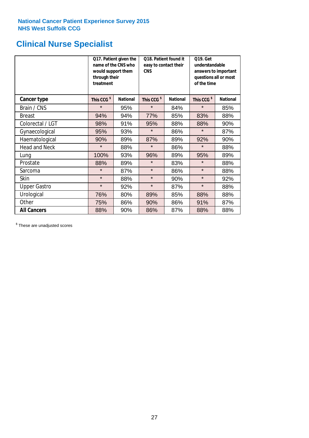# **Clinical Nurse Specialist**

|                      | would support them<br>through their<br>treatment | Q17. Patient given the<br>name of the CNS who | Q18. Patient found it<br>easy to contact their<br><b>CNS</b> |                 | <b>Q19. Get</b><br>understandable<br>answers to important<br>questions all or most<br>of the time |                 |  |
|----------------------|--------------------------------------------------|-----------------------------------------------|--------------------------------------------------------------|-----------------|---------------------------------------------------------------------------------------------------|-----------------|--|
| <b>Cancer type</b>   | This CCG <sup>\$</sup>                           | <b>National</b>                               | This CCG <sup>\$</sup>                                       | <b>National</b> | This CCG <sup>\$</sup>                                                                            | <b>National</b> |  |
| Brain / CNS          | $\star$                                          | 95%                                           | $\star$                                                      | 84%             | $\star$                                                                                           | 85%             |  |
| <b>Breast</b>        | 94%                                              | 94%                                           | 77%                                                          | 85%             | 83%                                                                                               | 88%             |  |
| Colorectal / LGT     | 98%                                              | 91%                                           | 95%                                                          | 88%             | 88%                                                                                               | 90%             |  |
| Gynaecological       | 95%                                              | 93%                                           | $\star$                                                      | 86%             | $\star$                                                                                           | 87%             |  |
| Haematological       | 90%                                              | 89%                                           | 87%                                                          | 89%             | 92%                                                                                               | 90%             |  |
| <b>Head and Neck</b> | $\star$                                          | 88%                                           | $\star$                                                      | 86%             | $\star$                                                                                           | 88%             |  |
| Lung                 | 100%                                             | 93%                                           | 96%                                                          | 89%             | 95%                                                                                               | 89%             |  |
| Prostate             | 88%                                              | 89%                                           | $\star$                                                      | 83%             | $\star$                                                                                           | 88%             |  |
| Sarcoma              | $\star$                                          | 87%                                           | $\star$                                                      | 86%             | $\star$                                                                                           | 88%             |  |
| Skin                 | $\star$                                          | 88%                                           | $\star$                                                      | 90%             | $\star$                                                                                           | 92%             |  |
| <b>Upper Gastro</b>  | $\star$                                          | 92%                                           | $\star$                                                      | 87%             | $\star$                                                                                           | 88%             |  |
| Urological           | 76%                                              | 80%                                           | 89%                                                          | 85%             | 88%                                                                                               | 88%             |  |
| Other                | 75%                                              | 86%                                           | 90%                                                          | 86%             | 91%                                                                                               | 87%             |  |
| <b>All Cancers</b>   | 88%                                              | 90%                                           | 86%                                                          | 87%             | 88%                                                                                               | 88%             |  |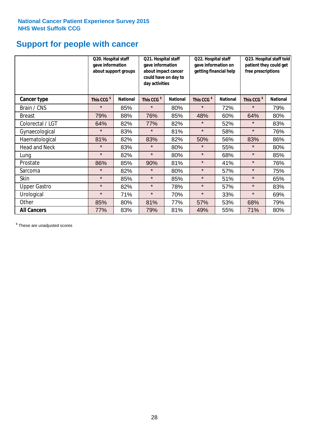# **Support for people with cancer**

|                      | Q20. Hospital staff<br>gave information | about support groups | Q21. Hospital staff<br>gave information<br>about impact cancer<br>could have on day to<br>day activities |                 | Q22. Hospital staff<br>gave information on<br>getting financial help |                 | Q23. Hospital staff told<br>patient they could get<br>free prescriptions |                 |
|----------------------|-----------------------------------------|----------------------|----------------------------------------------------------------------------------------------------------|-----------------|----------------------------------------------------------------------|-----------------|--------------------------------------------------------------------------|-----------------|
| Cancer type          | This CCG <sup>\$</sup>                  | <b>National</b>      | This CCG <sup>\$</sup>                                                                                   | <b>National</b> | This CCG <sup>\$</sup>                                               | <b>National</b> | This CCG <sup>\$</sup>                                                   | <b>National</b> |
| Brain / CNS          | $\star$                                 | 85%                  | $\star$                                                                                                  | 80%             | $\star$                                                              | 72%             | $\star$                                                                  | 79%             |
| <b>Breast</b>        | 79%                                     | 88%                  | 76%                                                                                                      | 85%             | 48%                                                                  | 60%             | 64%                                                                      | 80%             |
| Colorectal / LGT     | 64%                                     | 82%                  | 77%                                                                                                      | 82%             | $\star$                                                              | 52%             | $\star$                                                                  | 83%             |
| Gynaecological       | $\star$                                 | 83%                  | $\star$                                                                                                  | 81%             | $\star$                                                              | 58%             | $\star$                                                                  | 76%             |
| Haematological       | 81%                                     | 82%                  | 83%                                                                                                      | 82%             | 50%                                                                  | 56%             | 83%                                                                      | 86%             |
| <b>Head and Neck</b> | $\star$                                 | 83%                  | $\star$                                                                                                  | 80%             | $\star$                                                              | 55%             | $\star$                                                                  | 80%             |
| Lung                 | $\star$                                 | 82%                  | $\star$                                                                                                  | 80%             | $\star$                                                              | 68%             | $\star$                                                                  | 85%             |
| Prostate             | 86%                                     | 85%                  | 90%                                                                                                      | 81%             | $\star$                                                              | 41%             | $\star$                                                                  | 76%             |
| Sarcoma              | $\star$                                 | 82%                  | $\star$                                                                                                  | 80%             | $\star$                                                              | 57%             | $\star$                                                                  | 75%             |
| Skin                 | $\star$                                 | 85%                  | $\star$                                                                                                  | 85%             | $\star$                                                              | 51%             | $\star$                                                                  | 65%             |
| <b>Upper Gastro</b>  | $\star$                                 | 82%                  | $\star$                                                                                                  | 78%             | $\star$                                                              | 57%             | $\star$                                                                  | 83%             |
| Urological           | $\star$                                 | 71%                  | $\star$                                                                                                  | 70%             | $\star$                                                              | 33%             | $\star$                                                                  | 69%             |
| Other                | 85%                                     | 80%                  | 81%                                                                                                      | 77%             | 57%                                                                  | 53%             | 68%                                                                      | 79%             |
| <b>All Cancers</b>   | 77%                                     | 83%                  | 79%                                                                                                      | 81%             | 49%                                                                  | 55%             | 71%                                                                      | 80%             |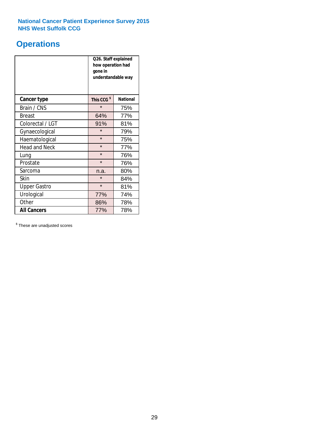# **Operations**

|                      | Q26. Staff explained<br>how operation had<br>gone in<br>understandable way |                 |  |  |
|----------------------|----------------------------------------------------------------------------|-----------------|--|--|
| <b>Cancer type</b>   | This CCG <sup>\$</sup>                                                     | <b>National</b> |  |  |
| Brain / CNS          | $\star$                                                                    | 75%             |  |  |
| <b>Breast</b>        | 64%                                                                        | 77%             |  |  |
| Colorectal / LGT     | 91%                                                                        | 81%             |  |  |
| Gynaecological       | $\star$                                                                    | 79%             |  |  |
| Haematological       | $\star$                                                                    | 75%             |  |  |
| <b>Head and Neck</b> | $\star$                                                                    | 77%             |  |  |
| Lung                 | $\star$                                                                    | 76%             |  |  |
| Prostate             | $\star$                                                                    | 76%             |  |  |
| Sarcoma              | n.a.                                                                       | 80%             |  |  |
| Skin                 | $\star$                                                                    | 84%             |  |  |
| <b>Upper Gastro</b>  | $\star$                                                                    | 81%             |  |  |
| Urological           | 77%                                                                        | 74%             |  |  |
| Other                | 86%                                                                        | 78%             |  |  |
| <b>All Cancers</b>   | 77%                                                                        | 78%             |  |  |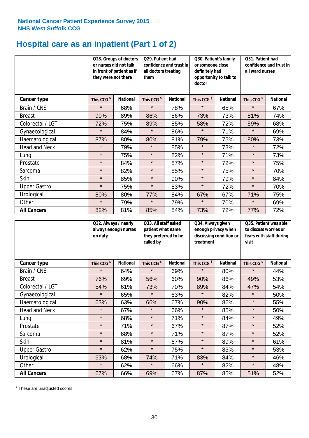# **Hospital care as an inpatient (Part 1 of 2)**

|                      | or nurses did not talk<br>they were not there | Q28. Groups of doctors<br>in front of patient as if | Q29. Patient had<br>confidence and trust in<br>all doctors treating<br>them |                 | Q30. Patient's family<br>or someone close<br>definitely had<br>opportunity to talk to<br>doctor |                 | Q31. Patient had<br>confidence and trust in I<br>all ward nurses |                 |
|----------------------|-----------------------------------------------|-----------------------------------------------------|-----------------------------------------------------------------------------|-----------------|-------------------------------------------------------------------------------------------------|-----------------|------------------------------------------------------------------|-----------------|
| Cancer type          | This CCG <sup>\$</sup>                        | <b>National</b>                                     | This CCG <sup>\$</sup>                                                      | <b>National</b> | This CCG <sup>\$</sup>                                                                          | <b>National</b> | This CCG <sup>\$</sup>                                           | <b>National</b> |
| Brain / CNS          | $\star$                                       | 68%                                                 | $\star$                                                                     | 78%             | $\star$                                                                                         | 65%             | $\star$                                                          | 67%             |
| <b>Breast</b>        | 90%                                           | 89%                                                 | 86%                                                                         | 86%             | 73%                                                                                             | 73%             | 81%                                                              | 74%             |
| Colorectal / LGT     | 72%                                           | 75%                                                 | 89%                                                                         | 85%             | 58%                                                                                             | 72%             | 59%                                                              | 68%             |
| Gynaecological       | $\star$                                       | 84%                                                 | $\star$                                                                     | 86%             | $\star$                                                                                         | 71%             | $\star$                                                          | 69%             |
| Haematological       | 87%                                           | 80%                                                 | 80%                                                                         | 81%             | 79%                                                                                             | 75%             | 80%                                                              | 73%             |
| <b>Head and Neck</b> | $\star$                                       | 79%                                                 | $\star$                                                                     | 85%             | $\star$                                                                                         | 73%             | $\star$                                                          | 72%             |
| Lung                 | $\star$                                       | 75%                                                 | $\star$                                                                     | 82%             | $\star$                                                                                         | 71%             | $\star$                                                          | 73%             |
| Prostate             | $\star$                                       | 84%                                                 | $\star$                                                                     | 87%             | $\star$                                                                                         | 72%             | $\star$                                                          | 75%             |
| Sarcoma              | $\star$                                       | 82%                                                 | $\star$                                                                     | 85%             | $\star$                                                                                         | 75%             | $\star$                                                          | 70%             |
| Skin                 | $\star$                                       | 85%                                                 | $\star$                                                                     | 90%             | $\star$                                                                                         | 79%             | $\star$                                                          | 84%             |
| <b>Upper Gastro</b>  | $\star$                                       | 75%                                                 | $\star$                                                                     | 83%             | $\star$                                                                                         | 72%             | $\star$                                                          | 70%             |
| Urological           | 80%                                           | 80%                                                 | 77%                                                                         | 84%             | 67%                                                                                             | 67%             | 71%                                                              | 75%             |
| Other                | $\star$                                       | 79%                                                 | $\star$                                                                     | 79%             | $\star$                                                                                         | 70%             | $\star$                                                          | 69%             |
| <b>All Cancers</b>   | 82%                                           | 81%                                                 | 85%                                                                         | 84%             | 73%                                                                                             | 72%             | 77%                                                              | 72%             |

|                      | on duty                | Q32. Always / nearly<br>always enough nurses |                        | Q33. All staff asked<br>patient what name<br>they preferred to be<br>called by |                        | Q34. Always given<br>enough privacy when<br>discussing condition or<br>treatment |                        | Q35. Patient was able<br>to discuss worries or<br>fears with staff during<br>visit |  |
|----------------------|------------------------|----------------------------------------------|------------------------|--------------------------------------------------------------------------------|------------------------|----------------------------------------------------------------------------------|------------------------|------------------------------------------------------------------------------------|--|
| <b>Cancer type</b>   | This CCG <sup>\$</sup> | <b>National</b>                              | This CCG <sup>\$</sup> | <b>National</b>                                                                | This CCG <sup>\$</sup> | <b>National</b>                                                                  | This CCG <sup>\$</sup> | <b>National</b>                                                                    |  |
| Brain / CNS          | $\star$                | 64%                                          | $\star$                | 69%                                                                            | $\star$                | 80%                                                                              | $\star$                | 44%                                                                                |  |
| <b>Breast</b>        | 76%                    | 69%                                          | 56%                    | 60%                                                                            | 90%                    | 86%                                                                              | 49%                    | 53%                                                                                |  |
| Colorectal / LGT     | 54%                    | 61%                                          | 73%                    | 70%                                                                            | 89%                    | 84%                                                                              | 47%                    | 54%                                                                                |  |
| Gynaecological       | $\star$                | 65%                                          | $\star$                | 63%                                                                            | $\star$                | 82%                                                                              | $\star$                | 50%                                                                                |  |
| Haematological       | 63%                    | 63%                                          | 66%                    | 67%                                                                            | 90%                    | 86%                                                                              | $\star$                | 55%                                                                                |  |
| <b>Head and Neck</b> | $\star$                | 67%                                          | $\star$                | 66%                                                                            | $\star$                | 85%                                                                              | $\star$                | 50%                                                                                |  |
| Lung                 | $\star$                | 68%                                          | $\star$                | 71%                                                                            | $\star$                | 84%                                                                              | $\star$                | 49%                                                                                |  |
| Prostate             | $\star$                | 71%                                          | $\star$                | 67%                                                                            | $\star$                | 87%                                                                              | $\star$                | 52%                                                                                |  |
| Sarcoma              | $\star$                | 68%                                          | $\star$                | 71%                                                                            | $\star$                | 87%                                                                              | $\star$                | 52%                                                                                |  |
| Skin                 | $\star$                | 81%                                          | $\star$                | 67%                                                                            | $\star$                | 89%                                                                              | $\star$                | 61%                                                                                |  |
| <b>Upper Gastro</b>  | $\star$                | 62%                                          | $\star$                | 75%                                                                            | $\star$                | 83%                                                                              | $\star$                | 53%                                                                                |  |
| Urological           | 63%                    | 68%                                          | 74%                    | 71%                                                                            | 83%                    | 84%                                                                              | $\star$                | 46%                                                                                |  |
| Other                | $\star$                | 62%                                          | $\star$                | 66%                                                                            | $\star$                | 82%                                                                              | $\star$                | 48%                                                                                |  |
| <b>All Cancers</b>   | 67%                    | 66%                                          | 69%                    | 67%                                                                            | 87%                    | 85%                                                                              | 51%                    | 52%                                                                                |  |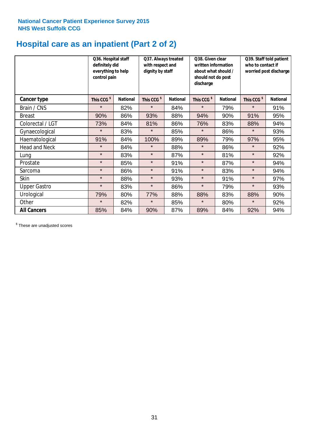# **Hospital care as an inpatient (Part 2 of 2)**

|                      | Q36. Hospital staff<br>definitely did<br>everything to help<br>control pain |                 | Q37. Always treated<br>with respect and<br>dignity by staff |                 | Q38. Given clear<br>written information<br>about what should /<br>should not do post<br>discharge |                 | Q39. Staff told patient<br>who to contact if<br>worried post discharge |                 |
|----------------------|-----------------------------------------------------------------------------|-----------------|-------------------------------------------------------------|-----------------|---------------------------------------------------------------------------------------------------|-----------------|------------------------------------------------------------------------|-----------------|
| Cancer type          | This CCG <sup>\$</sup>                                                      | <b>National</b> | This CCG <sup>\$</sup>                                      | <b>National</b> | This CCG <sup>\$</sup>                                                                            | <b>National</b> | This CCG <sup>\$</sup>                                                 | <b>National</b> |
| Brain / CNS          | $\star$                                                                     | 82%             | $\star$                                                     | 84%             | $\star$                                                                                           | 79%             | $\star$                                                                | 91%             |
| <b>Breast</b>        | 90%                                                                         | 86%             | 93%                                                         | 88%             | 94%                                                                                               | 90%             | 91%                                                                    | 95%             |
| Colorectal / LGT     | 73%                                                                         | 84%             | 81%                                                         | 86%             | 76%                                                                                               | 83%             | 88%                                                                    | 94%             |
| Gynaecological       | $\star$                                                                     | 83%             | $\star$                                                     | 85%             | $\star$                                                                                           | 86%             | $\star$                                                                | 93%             |
| Haematological       | 91%                                                                         | 84%             | 100%                                                        | 89%             | 89%                                                                                               | 79%             | 97%                                                                    | 95%             |
| <b>Head and Neck</b> | $\star$                                                                     | 84%             | $\star$                                                     | 88%             | $\star$                                                                                           | 86%             | $\star$                                                                | 92%             |
| Lung                 | $\star$                                                                     | 83%             | $\star$                                                     | 87%             | $\star$                                                                                           | 81%             | $\star$                                                                | 92%             |
| Prostate             | $\star$                                                                     | 85%             | $\star$                                                     | 91%             | $\star$                                                                                           | 87%             | $\star$                                                                | 94%             |
| Sarcoma              | $\star$                                                                     | 86%             | $\star$                                                     | 91%             | $\star$                                                                                           | 83%             | $\star$                                                                | 94%             |
| Skin                 | $\star$                                                                     | 88%             | $\star$                                                     | 93%             | $\star$                                                                                           | 91%             | $\star$                                                                | 97%             |
| <b>Upper Gastro</b>  | $\star$                                                                     | 83%             | $\star$                                                     | 86%             | $\star$                                                                                           | 79%             | $\star$                                                                | 93%             |
| Urological           | 79%                                                                         | 80%             | 77%                                                         | 88%             | 88%                                                                                               | 83%             | 88%                                                                    | 90%             |
| Other                | $\star$                                                                     | 82%             | $\star$                                                     | 85%             | $\star$                                                                                           | 80%             | $\star$                                                                | 92%             |
| <b>All Cancers</b>   | 85%                                                                         | 84%             | 90%                                                         | 87%             | 89%                                                                                               | 84%             | 92%                                                                    | 94%             |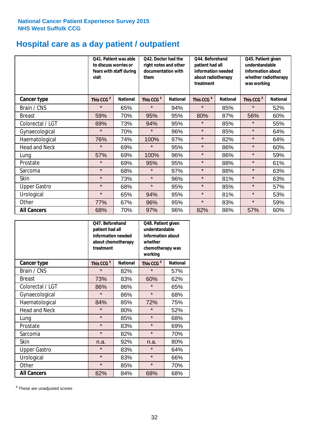# **Hospital care as a day patient / outpatient**

|                      | to discuss worries or<br>visit | Q41. Patient was able<br>fears with staff during | Q42. Doctor had the<br>right notes and other<br>documentation with<br>them |                 | Q44. Beforehand<br>patient had all<br>information needed<br>about radiotherapy<br>treatment |                 | Q45. Patient given<br>understandable<br>information about<br>whether radiotherapy<br>was working |                 |
|----------------------|--------------------------------|--------------------------------------------------|----------------------------------------------------------------------------|-----------------|---------------------------------------------------------------------------------------------|-----------------|--------------------------------------------------------------------------------------------------|-----------------|
| <b>Cancer type</b>   | This CCG <sup>\$</sup>         | <b>National</b>                                  | This CCG <sup>\$</sup>                                                     | <b>National</b> | This CCG <sup>\$</sup>                                                                      | <b>National</b> | This CCG <sup>\$</sup>                                                                           | <b>National</b> |
| Brain / CNS          | $\star$                        | 65%                                              | $\star$                                                                    | 94%             | $\star$                                                                                     | 85%             | $\star$                                                                                          | 52%             |
| <b>Breast</b>        | 59%                            | 70%                                              | 95%                                                                        | 95%             | 80%                                                                                         | 87%             | 56%                                                                                              | 60%             |
| Colorectal / LGT     | 69%                            | 73%                                              | 94%                                                                        | 95%             | $\star$                                                                                     | 85%             | $\star$                                                                                          | 55%             |
| Gynaecological       | $\star$                        | 70%                                              | $\star$                                                                    | 96%             | $\star$                                                                                     | 85%             | $\star$                                                                                          | 64%             |
| Haematological       | 76%                            | 74%                                              | 100%                                                                       | 97%             | $\star$                                                                                     | 82%             | $\star$                                                                                          | 64%             |
| <b>Head and Neck</b> | $\star$                        | 69%                                              | $\star$                                                                    | 95%             | $\star$                                                                                     | 86%             | $\star$                                                                                          | 60%             |
| Lung                 | 57%                            | 69%                                              | 100%                                                                       | 96%             | $\star$                                                                                     | 86%             | $\star$                                                                                          | 59%             |
| Prostate             | $\star$                        | 69%                                              | 95%                                                                        | 95%             | $\star$                                                                                     | 88%             | $\star$                                                                                          | 61%             |
| Sarcoma              | $\star$                        | 68%                                              | $\star$                                                                    | 97%             | $\star$                                                                                     | 88%             | $\star$                                                                                          | 63%             |
| Skin                 | $\star$                        | 73%                                              | $\star$                                                                    | 96%             | $\star$                                                                                     | 81%             | $\star$                                                                                          | 63%             |
| <b>Upper Gastro</b>  | $\star$                        | 68%                                              | $\star$                                                                    | 95%             | $\star$                                                                                     | 85%             | $\star$                                                                                          | 57%             |
| Urological           | $\star$                        | 65%                                              | 94%                                                                        | 95%             | $\star$                                                                                     | 81%             | $\star$                                                                                          | 53%             |
| Other                | 77%                            | 67%                                              | 96%                                                                        | 95%             | $\star$                                                                                     | 83%             | $\star$                                                                                          | 59%             |
| <b>All Cancers</b>   | 68%                            | 70%                                              | 97%                                                                        | 96%             | 82%                                                                                         | 86%             | 57%                                                                                              | 60%             |

|                      | O47. Beforehand<br>patient had all<br>information needed<br>treatment | about chemotherapy | Q48. Patient given<br>understandable<br>information about<br>whether<br>chemotherapy was<br>working |                 |  |
|----------------------|-----------------------------------------------------------------------|--------------------|-----------------------------------------------------------------------------------------------------|-----------------|--|
| <b>Cancer type</b>   | This CCG <sup>\$</sup>                                                | <b>National</b>    | This CCG <sup>\$</sup>                                                                              | <b>National</b> |  |
| Brain / CNS          | $\star$                                                               | 82%                | $\star$                                                                                             | 57%             |  |
| <b>Breast</b>        | 73%                                                                   | 83%                | 60%                                                                                                 | 62%             |  |
| Colorectal / LGT     | 86%                                                                   | 86%                | $\star$                                                                                             | 65%             |  |
| Gynaecological       | $\star$                                                               | 86%                | $\star$                                                                                             | 68%             |  |
| Haematological       | 84%<br>85%                                                            |                    | 72%                                                                                                 | 75%             |  |
| <b>Head and Neck</b> | $\star$                                                               | 80%                | $\star$                                                                                             | 52%             |  |
| Lung                 | $\star$                                                               | 85%                | $\star$                                                                                             | 68%             |  |
| Prostate             | $\star$                                                               | 83%                | $\star$                                                                                             | 69%             |  |
| Sarcoma              | $\star$                                                               | 82%                | $\star$                                                                                             | 70%             |  |
| Skin                 | n.a.                                                                  | 92%                | n.a.                                                                                                | 80%             |  |
| <b>Upper Gastro</b>  | $\star$                                                               | 83%                | $\star$                                                                                             | 64%             |  |
| Urological           | $\star$                                                               | 83%                |                                                                                                     | 66%             |  |
| Other                | $\star$                                                               | 85%                | $\star$                                                                                             | 70%             |  |
| <b>All Cancers</b>   | 82%                                                                   | 84%                | 68%                                                                                                 | 68%             |  |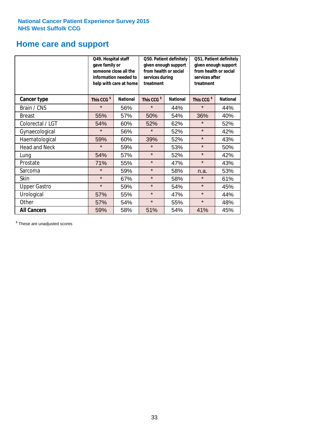# **Home care and support**

|                      | Q49. Hospital staff<br>gave family or | someone close all the<br>information needed to<br>help with care at home | Q50. Patient definitely<br>given enough support<br>from health or social<br>services during<br>treatment |                 | Q51. Patient definitely<br>given enough support<br>from health or social<br>services after<br>treatment |                 |
|----------------------|---------------------------------------|--------------------------------------------------------------------------|----------------------------------------------------------------------------------------------------------|-----------------|---------------------------------------------------------------------------------------------------------|-----------------|
| <b>Cancer type</b>   | This CCG <sup>\$</sup>                | <b>National</b>                                                          | This CCG <sup>\$</sup>                                                                                   | <b>National</b> | This CCG <sup>\$</sup>                                                                                  | <b>National</b> |
| Brain / CNS          | $\star$                               | 56%                                                                      | $\star$                                                                                                  | 44%             | $\star$                                                                                                 | 44%             |
| <b>Breast</b>        | 55%                                   | 57%                                                                      | 50%                                                                                                      | 54%             | 36%                                                                                                     | 40%             |
| Colorectal / LGT     | 54%                                   | 60%                                                                      | 52%                                                                                                      | 62%             | $\star$                                                                                                 | 52%             |
| Gynaecological       | $\star$                               | 56%                                                                      | $\star$                                                                                                  | 52%             | $\star$                                                                                                 | 42%             |
| Haematological       | 59%                                   | 60%                                                                      | 39%                                                                                                      | 52%             | $\star$                                                                                                 | 43%             |
| <b>Head and Neck</b> | $\star$                               | 59%                                                                      | $\star$                                                                                                  | 53%             | $\star$                                                                                                 | 50%             |
| Lung                 | 54%                                   | 57%                                                                      | $\star$                                                                                                  | 52%             | $\star$                                                                                                 | 42%             |
| Prostate             | 71%                                   | 55%                                                                      | $\star$                                                                                                  | 47%             | $\star$                                                                                                 | 43%             |
| Sarcoma              | $\star$                               | 59%                                                                      | $\star$                                                                                                  | 58%             | n.a.                                                                                                    | 53%             |
| Skin                 | $\star$                               | 67%                                                                      | $\star$                                                                                                  | 58%             | $\star$                                                                                                 | 61%             |
| <b>Upper Gastro</b>  | $\star$                               | 59%                                                                      | $\star$                                                                                                  | 54%             | $\star$                                                                                                 | 45%             |
| Urological           | 57%                                   | 55%                                                                      | $\star$                                                                                                  | 47%             | $\star$                                                                                                 | 44%             |
| Other                | 57%                                   | 54%                                                                      | $\star$                                                                                                  | 55%             | $\star$                                                                                                 | 48%             |
| <b>All Cancers</b>   | 59%                                   | 58%                                                                      | 51%                                                                                                      | 54%             | 41%                                                                                                     | 45%             |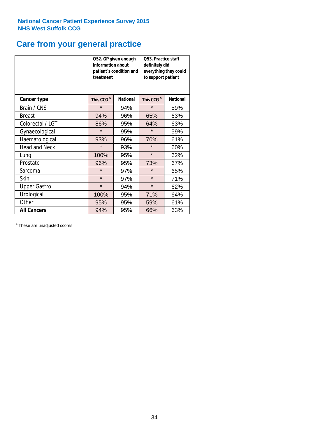# **Care from your general practice**

|                      | information about<br>treatment | Q52. GP given enough<br>patient's condition and | <b>O53. Practice staff</b><br>definitely did<br>everything they could<br>to support patient |                 |  |
|----------------------|--------------------------------|-------------------------------------------------|---------------------------------------------------------------------------------------------|-----------------|--|
| <b>Cancer type</b>   | This CCG <sup>\$</sup>         | <b>National</b>                                 | This CCG <sup>\$</sup>                                                                      | <b>National</b> |  |
| Brain / CNS          | $\star$                        | 94%                                             | $\star$                                                                                     | 59%             |  |
| <b>Breast</b>        | 94%                            | 96%                                             | 65%                                                                                         | 63%             |  |
| Colorectal / LGT     | 86%                            | 95%                                             | 64%                                                                                         | 63%             |  |
| Gynaecological       | $\star$                        | 95%                                             | $\star$                                                                                     | 59%             |  |
| Haematological       | 93%                            | 96%                                             | 70%                                                                                         | 61%             |  |
| <b>Head and Neck</b> | $\star$                        | 93%                                             | $\star$                                                                                     | 60%             |  |
| Lung                 | 100%                           | 95%                                             | $\star$                                                                                     | 62%             |  |
| Prostate             | 96%                            | 95%                                             | 73%                                                                                         | 67%             |  |
| Sarcoma              | $\star$                        | 97%                                             | $\star$                                                                                     | 65%             |  |
| <b>Skin</b>          | $\star$                        | 97%                                             | $\star$                                                                                     | 71%             |  |
| <b>Upper Gastro</b>  | $\star$                        | 94%                                             | $\star$                                                                                     | 62%             |  |
| Urological           | 100%                           | 95%                                             | 71%                                                                                         | 64%             |  |
| Other                | 95%                            | 95%                                             | 59%                                                                                         | 61%             |  |
| <b>All Cancers</b>   | 94%                            | 95%                                             | 66%                                                                                         | 63%             |  |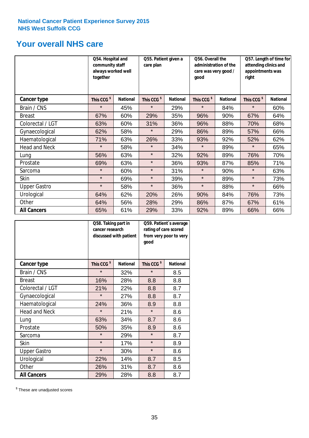# **Your overall NHS care**

|                      | Q54. Hospital and<br>community staff<br>always worked well<br>together | Q55. Patient given a<br>care plan |                        | Q56. Overall the<br>administration of the<br>care was very good /<br>good |                        |                 | Q57. Length of time for<br>attending clinics and<br>appointments was<br>right |                 |
|----------------------|------------------------------------------------------------------------|-----------------------------------|------------------------|---------------------------------------------------------------------------|------------------------|-----------------|-------------------------------------------------------------------------------|-----------------|
| Cancer type          | This CCG <sup>\$</sup>                                                 | <b>National</b>                   | This CCG <sup>\$</sup> | <b>National</b>                                                           | This CCG <sup>\$</sup> | <b>National</b> | This CCG <sup>\$</sup>                                                        | <b>National</b> |
| Brain / CNS          | $\star$                                                                | 45%                               | $\star$                | 29%                                                                       | $\star$                | 84%             | $\star$                                                                       | 60%             |
| <b>Breast</b>        | 67%                                                                    | 60%                               | 29%                    | 35%                                                                       | 96%                    | 90%             | 67%                                                                           | 64%             |
| Colorectal / LGT     | 63%                                                                    | 60%                               | 31%                    | 36%                                                                       | 96%                    | 88%             | 70%                                                                           | 68%             |
| Gynaecological       | 62%                                                                    | 58%                               | $\star$                | 29%                                                                       | 86%                    | 89%             | 57%                                                                           | 66%             |
| Haematological       | 71%                                                                    | 63%                               | 26%                    | 33%                                                                       | 93%                    | 92%             | 52%                                                                           | 62%             |
| <b>Head and Neck</b> | $\star$                                                                | 58%                               | $\star$                | 34%                                                                       | $\star$                | 89%             | $\star$                                                                       | 65%             |
| Lung                 | 56%                                                                    | 63%                               | $\star$                | 32%                                                                       | 92%                    | 89%             | 76%                                                                           | 70%             |
| Prostate             | 69%                                                                    | 63%                               | $\star$                | 36%                                                                       | 93%                    | 87%             | 85%                                                                           | 71%             |
| Sarcoma              | $\star$                                                                | 60%                               | $\star$                | 31%                                                                       | $\star$                | 90%             | $\star$                                                                       | 63%             |
| Skin                 | $\star$                                                                | 69%                               | $\star$                | 39%                                                                       | $\star$                | 89%             | $\star$                                                                       | 73%             |
| <b>Upper Gastro</b>  | $\star$                                                                | 58%                               | $\star$                | 36%                                                                       | $\star$                | 88%             | $\star$                                                                       | 66%             |
| Urological           | 64%                                                                    | 62%                               | 20%                    | 26%                                                                       | 90%                    | 84%             | 76%                                                                           | 73%             |
| Other                | 64%                                                                    | 56%                               | 28%                    | 29%                                                                       | 86%                    | 87%             | 67%                                                                           | 61%             |
| <b>All Cancers</b>   | 65%                                                                    | 61%                               | 29%                    | 33%                                                                       | 92%                    | 89%             | 66%                                                                           | 66%             |

|                      | Q58. Taking part in<br>cancer research | discussed with patient | Q59. Patient's average<br>rating of care scored<br>from very poor to very<br>good |                 |  |
|----------------------|----------------------------------------|------------------------|-----------------------------------------------------------------------------------|-----------------|--|
| <b>Cancer type</b>   | This CCG <sup>\$</sup>                 | <b>National</b>        | This CCG <sup>\$</sup>                                                            | <b>National</b> |  |
| Brain / CNS          | $\star$                                | 32%                    | $\star$                                                                           | 8.5             |  |
| <b>Breast</b>        | 16%                                    | 28%                    | 8.8                                                                               | 8.8             |  |
| Colorectal / LGT     | 21%                                    | 22%                    | 8.8                                                                               | 8.7             |  |
| Gynaecological       | $\star$                                | 27%                    | 8.8                                                                               | 8.7             |  |
| Haematological       | 24%                                    | 36%                    | 8.9                                                                               | 8.8             |  |
| <b>Head and Neck</b> | $\star$                                | 21%                    | $\star$                                                                           | 8.6             |  |
| Lung                 | 63%                                    | 34%                    | 8.7                                                                               | 8.6             |  |
| Prostate             | 50%                                    | 35%                    | 8.9                                                                               | 8.6             |  |
| Sarcoma              | $\star$                                | 29%                    | $\star$                                                                           | 8.7             |  |
| Skin                 | $\star$                                | 17%                    | $\star$                                                                           | 8.9             |  |
| <b>Upper Gastro</b>  | $\star$                                | 30%                    | $\star$                                                                           | 8.6             |  |
| Urological           | 22%                                    | 14%                    | 8.7                                                                               | 8.5             |  |
| Other                | 26%                                    | 31%                    | 8.7                                                                               | 8.6             |  |
| <b>All Cancers</b>   | 29%                                    | 28%                    | 8.8                                                                               | 8.7             |  |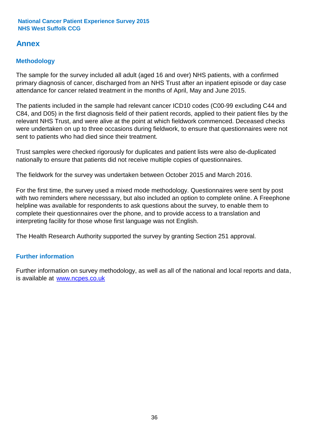# **Annex**

### **Methodology**

The sample for the survey included all adult (aged 16 and over) NHS patients, with a confirmed primary diagnosis of cancer, discharged from an NHS Trust after an inpatient episode or day case attendance for cancer related treatment in the months of April, May and June 2015.

The patients included in the sample had relevant cancer ICD10 codes (C00-99 excluding C44 and C84, and D05) in the first diagnosis field of their patient records, applied to their patient files by the relevant NHS Trust, and were alive at the point at which fieldwork commenced. Deceased checks were undertaken on up to three occasions during fieldwork, to ensure that questionnaires were not sent to patients who had died since their treatment.

Trust samples were checked rigorously for duplicates and patient lists were also de-duplicated nationally to ensure that patients did not receive multiple copies of questionnaires.

The fieldwork for the survey was undertaken between October 2015 and March 2016.

For the first time, the survey used a mixed mode methodology. Questionnaires were sent by post with two reminders where necesssary, but also included an option to complete online. A Freephone helpline was available for respondents to ask questions about the survey, to enable them to complete their questionnaires over the phone, and to provide access to a translation and interpreting facility for those whose first language was not English.

The Health Research Authority supported the survey by granting Section 251 approval.

### **Further information**

Further information on survey methodology, as well as all of the national and local reports and data, is available at www.ncpes.co.uk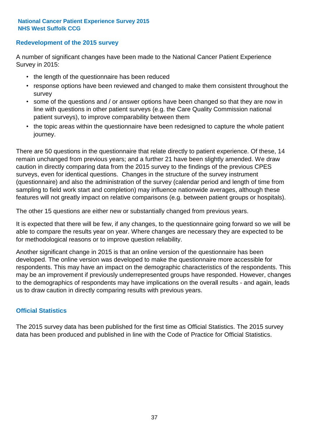### **Redevelopment of the 2015 survey**

A number of significant changes have been made to the National Cancer Patient Experience Survey in 2015:

- the length of the questionnaire has been reduced
- response options have been reviewed and changed to make them consistent throughout the survey
- some of the questions and / or answer options have been changed so that they are now in line with questions in other patient surveys (e.g. the Care Quality Commission national patient surveys), to improve comparability between them
- the topic areas within the questionnaire have been redesigned to capture the whole patient journey.

There are 50 questions in the questionnaire that relate directly to patient experience. Of these, 14 remain unchanged from previous years; and a further 21 have been slightly amended. We draw caution in directly comparing data from the 2015 survey to the findings of the previous CPES surveys, even for identical questions. Changes in the structure of the survey instrument (questionnaire) and also the administration of the survey (calendar period and length of time from sampling to field work start and completion) may influence nationwide averages, although these features will not greatly impact on relative comparisons (e.g. between patient groups or hospitals).

The other 15 questions are either new or substantially changed from previous years.

It is expected that there will be few, if any changes, to the questionnaire going forward so we will be able to compare the results year on year. Where changes are necessary they are expected to be for methodological reasons or to improve question reliability.

Another significant change in 2015 is that an online version of the questionnaire has been developed. The online version was developed to make the questionnaire more accessible for respondents. This may have an impact on the demographic characteristics of the respondents. This may be an improvement if previously underrepresented groups have responded. However, changes to the demographics of respondents may have implications on the overall results - and again, leads us to draw caution in directly comparing results with previous years.

### **Official Statistics**

The 2015 survey data has been published for the first time as Official Statistics. The 2015 survey data has been produced and published in line with the Code of Practice for Official Statistics.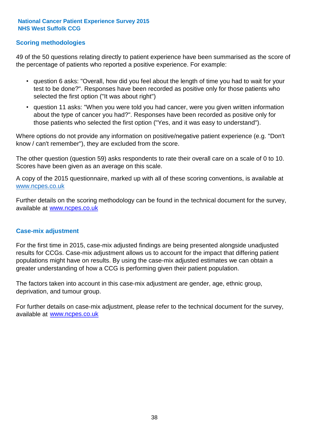### **Scoring methodologies**

49 of the 50 questions relating directly to patient experience have been summarised as the score of the percentage of patients who reported a positive experience. For example:

- question 6 asks: "Overall, how did you feel about the length of time you had to wait for your test to be done?". Responses have been recorded as positive only for those patients who selected the first option ("It was about right")
- question 11 asks: "When you were told you had cancer, were you given written information about the type of cancer you had?". Responses have been recorded as positive only for those patients who selected the first option ("Yes, and it was easy to understand").

Where options do not provide any information on positive/negative patient experience (e.g. "Don't know / can't remember"), they are excluded from the score.

The other question (question 59) asks respondents to rate their overall care on a scale of 0 to 10. Scores have been given as an average on this scale.

A copy of the 2015 questionnaire, marked up with all of these scoring conventions, is available at www.ncpes.co.uk

Further details on the scoring methodology can be found in the technical document for the survey, available at <u>www.ncpes.co.uk</u>

#### **Case-mix adjustment**

For the first time in 2015, case-mix adjusted findings are being presented alongside unadjusted results for CCGs. Case-mix adjustment allows us to account for the impact that differing patient populations might have on results. By using the case-mix adjusted estimates we can obtain a greater understanding of how a CCG is performing given their patient population.

The factors taken into account in this case-mix adjustment are gender, age, ethnic group, deprivation, and tumour group.

For further details on case-mix adjustment, please refer to the technical document for the survey, available at www.ncpes.co.uk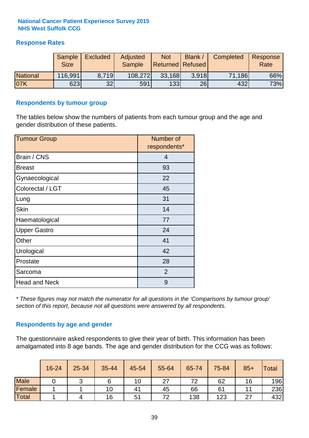### **Response Rates**

|                 | Sample<br><b>Size</b> | <b>Excluded</b> | Adjusted<br><b>Sample</b> | <b>Not</b><br><b>Returned Refused</b> | Blank / | Completed | Response<br>Rate |
|-----------------|-----------------------|-----------------|---------------------------|---------------------------------------|---------|-----------|------------------|
| <b>National</b> | 116,991               | 8.719           | 108,272                   | 33,168                                | 3.918   | 71,186    | 66%              |
| 07K             | 623                   | 32              | 591                       | 133                                   | 26      | 432       | 73%              |

#### **Respondents by tumour group**

The tables below show the numbers of patients from each tumour group and the age and gender distribution of these patients.

| <b>Tumour Group</b>  | Number of<br>respondents* |
|----------------------|---------------------------|
| Brain / CNS          | $\overline{4}$            |
| <b>Breast</b>        | 93                        |
| Gynaecological       | 22                        |
| Colorectal / LGT     | 45                        |
| Lung                 | 31                        |
| <b>Skin</b>          | 14                        |
| Haematological       | 77                        |
| <b>Upper Gastro</b>  | 24                        |
| Other                | 41                        |
| Urological           | 42                        |
| Prostate             | 28                        |
| Sarcoma              | 2                         |
| <b>Head and Neck</b> | 9                         |

*\* These figures may not match the numerator for all questions in the 'Comparisons by tumour group' section of this report, because not all questions were answered by all respondents.*

### **Respondents by age and gender**

The questionnaire asked respondents to give their year of birth. This information has been amalgamated into 8 age bands. The age and gender distribution for the CCG was as follows:

|             | 16-24 | 25-34 | 35-44 | 45-54 | 55-64 | 65-74 | 75-84 | $85+$ | Total |
|-------------|-------|-------|-------|-------|-------|-------|-------|-------|-------|
| <b>Male</b> |       | ີ     |       | 10    | 27    | 72    | 62    | 16    | 196   |
| Female      |       |       | 10    | 41    | 45    | 66    | 61    |       | 236   |
| Total       |       |       | 16    | 51    | 72    | 138   | 123   | 27    | 432   |